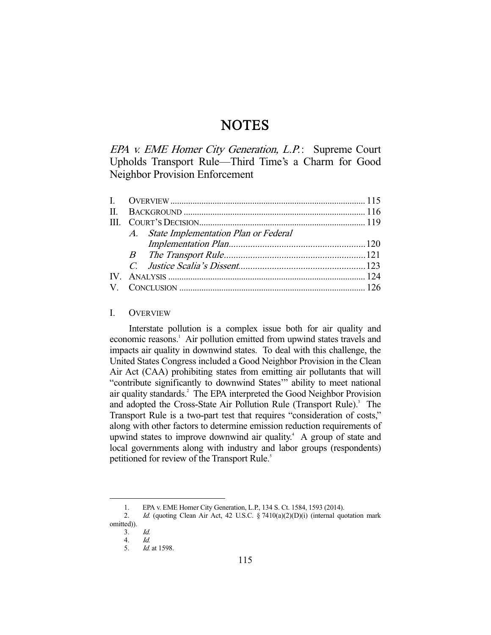# **NOTES**

EPA v. EME Homer City Generation, L.P.: Supreme Court Upholds Transport Rule—Third Time's a Charm for Good Neighbor Provision Enforcement

| A. State Implementation Plan or Federal |  |
|-----------------------------------------|--|
|                                         |  |
|                                         |  |
|                                         |  |
|                                         |  |
|                                         |  |
|                                         |  |

## I. OVERVIEW

 Interstate pollution is a complex issue both for air quality and economic reasons.<sup>1</sup> Air pollution emitted from upwind states travels and impacts air quality in downwind states. To deal with this challenge, the United States Congress included a Good Neighbor Provision in the Clean Air Act (CAA) prohibiting states from emitting air pollutants that will "contribute significantly to downwind States'" ability to meet national air quality standards.<sup>2</sup> The EPA interpreted the Good Neighbor Provision and adopted the Cross-State Air Pollution Rule (Transport Rule).<sup>3</sup> The Transport Rule is a two-part test that requires "consideration of costs," along with other factors to determine emission reduction requirements of upwind states to improve downwind air quality.<sup>4</sup> A group of state and local governments along with industry and labor groups (respondents) petitioned for review of the Transport Rule.<sup>5</sup>

 <sup>1.</sup> EPA v. EME Homer City Generation, L.P., 134 S. Ct. 1584, 1593 (2014).

<sup>2.</sup> Id. (quoting Clean Air Act, 42 U.S.C. § 7410(a)(2)(D)(i) (internal quotation mark omitted)).

 <sup>3.</sup> Id.

 <sup>4.</sup> Id.

 <sup>5.</sup> Id. at 1598.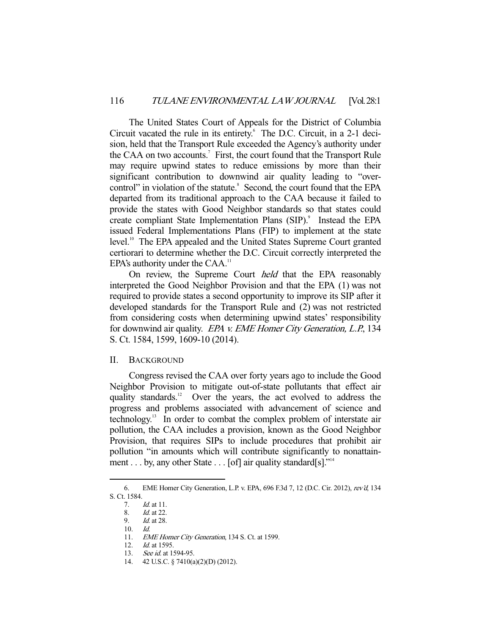The United States Court of Appeals for the District of Columbia Circuit vacated the rule in its entirety.<sup>6</sup> The D.C. Circuit, in a 2-1 decision, held that the Transport Rule exceeded the Agency's authority under the CAA on two accounts.<sup>7</sup> First, the court found that the Transport Rule may require upwind states to reduce emissions by more than their significant contribution to downwind air quality leading to "overcontrol" in violation of the statute.<sup>8</sup> Second, the court found that the EPA departed from its traditional approach to the CAA because it failed to provide the states with Good Neighbor standards so that states could create compliant State Implementation Plans (SIP).<sup>9</sup> Instead the EPA issued Federal Implementations Plans (FIP) to implement at the state level.<sup>10</sup> The EPA appealed and the United States Supreme Court granted certiorari to determine whether the D.C. Circuit correctly interpreted the EPA's authority under the  $CAA$ .<sup>11</sup>

 On review, the Supreme Court held that the EPA reasonably interpreted the Good Neighbor Provision and that the EPA (1) was not required to provide states a second opportunity to improve its SIP after it developed standards for the Transport Rule and (2) was not restricted from considering costs when determining upwind states' responsibility for downwind air quality. EPA v. EME Homer City Generation, L.P., 134 S. Ct. 1584, 1599, 1609-10 (2014).

### II. BACKGROUND

 Congress revised the CAA over forty years ago to include the Good Neighbor Provision to mitigate out-of-state pollutants that effect air quality standards.<sup>12</sup> Over the years, the act evolved to address the progress and problems associated with advancement of science and technology.13 In order to combat the complex problem of interstate air pollution, the CAA includes a provision, known as the Good Neighbor Provision, that requires SIPs to include procedures that prohibit air pollution "in amounts which will contribute significantly to nonattainment . . . by, any other State . . . [of] air quality standard[s]."<sup>14</sup>

 <sup>6.</sup> EME Homer City Generation, L.P. v. EPA, 696 F.3d 7, 12 (D.C. Cir. 2012), rev'd, 134 S. Ct. 1584.

 <sup>7.</sup> Id. at 11.

 <sup>8.</sup> Id. at 22.

 <sup>9.</sup> Id. at 28.

 $10.$  Id.

<sup>11.</sup> EME Homer City Generation, 134 S. Ct. at 1599.

 <sup>12.</sup> Id. at 1595.

<sup>13.</sup> See id. at 1594-95.

 <sup>14. 42</sup> U.S.C. § 7410(a)(2)(D) (2012).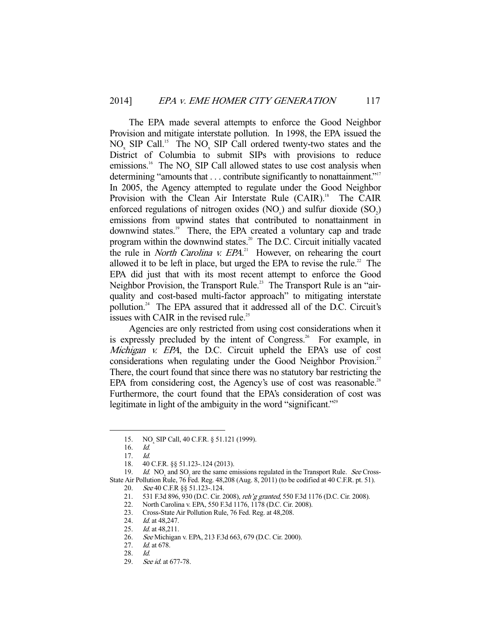The EPA made several attempts to enforce the Good Neighbor Provision and mitigate interstate pollution. In 1998, the EPA issued the  $NO<sub>x</sub>$  SIP Call.<sup>15</sup> The NO<sub>x</sub> SIP Call ordered twenty-two states and the District of Columbia to submit SIPs with provisions to reduce emissions.<sup>16</sup> The NO<sub>x</sub> SIP Call allowed states to use cost analysis when determining "amounts that . . . contribute significantly to nonattainment."<sup>17</sup> In 2005, the Agency attempted to regulate under the Good Neighbor Provision with the Clean Air Interstate Rule (CAIR).<sup>18</sup> The CAIR enforced regulations of nitrogen oxides  $(NO_x)$  and sulfur dioxide  $(SO_2)$ emissions from upwind states that contributed to nonattainment in downwind states.<sup>19</sup> There, the EPA created a voluntary cap and trade program within the downwind states.<sup>20</sup> The D.C. Circuit initially vacated the rule in *North Carolina v. EPA*.<sup>21</sup> However, on rehearing the court allowed it to be left in place, but urged the EPA to revise the rule.<sup>22</sup> The EPA did just that with its most recent attempt to enforce the Good Neighbor Provision, the Transport Rule.<sup>23</sup> The Transport Rule is an "airquality and cost-based multi-factor approach" to mitigating interstate pollution.24 The EPA assured that it addressed all of the D.C. Circuit's issues with CAIR in the revised rule.<sup>25</sup>

 Agencies are only restricted from using cost considerations when it is expressly precluded by the intent of Congress.<sup>26</sup> For example, in Michigan v. EPA, the D.C. Circuit upheld the EPA's use of cost considerations when regulating under the Good Neighbor Provision.<sup>27</sup> There, the court found that since there was no statutory bar restricting the EPA from considering cost, the Agency's use of cost was reasonable.<sup>28</sup> Furthermore, the court found that the EPA's consideration of cost was legitimate in light of the ambiguity in the word "significant."<sup>29</sup>

<sup>15.</sup> NO<sub>x</sub> SIP Call, 40 C.F.R. § 51.121 (1999).

 <sup>16.</sup> Id.

 $17.$  Id.

 <sup>18. 40</sup> C.F.R. §§ 51.123-.124 (2013).

<sup>19.</sup> Id. NO<sub>x</sub> and SO<sub>2</sub> are the same emissions regulated in the Transport Rule. See Cross-State Air Pollution Rule, 76 Fed. Reg. 48,208 (Aug. 8, 2011) (to be codified at 40 C.F.R. pt. 51).

<sup>20.</sup> See 40 C.F.R §§ 51.123-.124.

 <sup>21. 531</sup> F.3d 896, 930 (D.C. Cir. 2008), reh'g granted, 550 F.3d 1176 (D.C. Cir. 2008).

 <sup>22.</sup> North Carolina v. EPA, 550 F.3d 1176, 1178 (D.C. Cir. 2008).

<sup>23.</sup> Cross-State Air Pollution Rule, 76 Fed. Reg. at 48,208.<br>24. Id. at 48,247.

Id. at 48,247.

<sup>25.</sup> *Id.* at 48,211.

 <sup>26.</sup> See Michigan v. EPA, 213 F.3d 663, 679 (D.C. Cir. 2000).

 <sup>27.</sup> Id. at 678.

 <sup>28.</sup> Id.

 <sup>29.</sup> See id. at 677-78.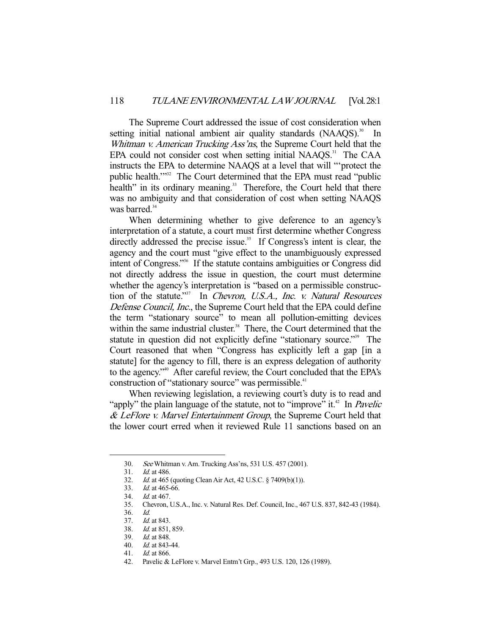The Supreme Court addressed the issue of cost consideration when setting initial national ambient air quality standards  $(NAAQS)$ .<sup>30</sup> In Whitman v. American Trucking Ass'ns, the Supreme Court held that the EPA could not consider cost when setting initial NAAQS.<sup>31</sup> The CAA instructs the EPA to determine NAAQS at a level that will "'protect the public health.'"32 The Court determined that the EPA must read "public health" in its ordinary meaning.<sup>33</sup> Therefore, the Court held that there was no ambiguity and that consideration of cost when setting NAAQS was barred.<sup>34</sup>

 When determining whether to give deference to an agency's interpretation of a statute, a court must first determine whether Congress directly addressed the precise issue.<sup>35</sup> If Congress's intent is clear, the agency and the court must "give effect to the unambiguously expressed intent of Congress."36 If the statute contains ambiguities or Congress did not directly address the issue in question, the court must determine whether the agency's interpretation is "based on a permissible construction of the statute."<sup>37</sup> In Chevron, U.S.A., Inc. v. Natural Resources Defense Council, Inc., the Supreme Court held that the EPA could define the term "stationary source" to mean all pollution-emitting devices within the same industrial cluster.<sup>38</sup> There, the Court determined that the statute in question did not explicitly define "stationary source."39 The Court reasoned that when "Congress has explicitly left a gap [in a statute] for the agency to fill, there is an express delegation of authority to the agency."<sup>40</sup> After careful review, the Court concluded that the EPA's construction of "stationary source" was permissible.<sup>41</sup>

 When reviewing legislation, a reviewing court's duty is to read and "apply" the plain language of the statute, not to "improve" it.<sup>42</sup> In *Pavelic*  $&$  LeFlore v. Marvel Entertainment Group, the Supreme Court held that the lower court erred when it reviewed Rule 11 sanctions based on an

-

39. Id. at 848.

 <sup>30.</sup> See Whitman v. Am. Trucking Ass'ns, 531 U.S. 457 (2001).

 <sup>31.</sup> Id. at 486.

 <sup>32.</sup> Id. at 465 (quoting Clean Air Act, 42 U.S.C. § 7409(b)(1)).

 <sup>33.</sup> Id. at 465-66.

 <sup>34.</sup> Id. at 467.

 <sup>35.</sup> Chevron, U.S.A., Inc. v. Natural Res. Def. Council, Inc., 467 U.S. 837, 842-43 (1984).

<sup>36.</sup> *Id.*<br>37. *Id.* 

*Id.* at 843.

 <sup>38.</sup> Id. at 851, 859.

 <sup>40.</sup> Id. at 843-44.

 <sup>41.</sup> Id. at 866.

 <sup>42.</sup> Pavelic & LeFlore v. Marvel Entm't Grp., 493 U.S. 120, 126 (1989).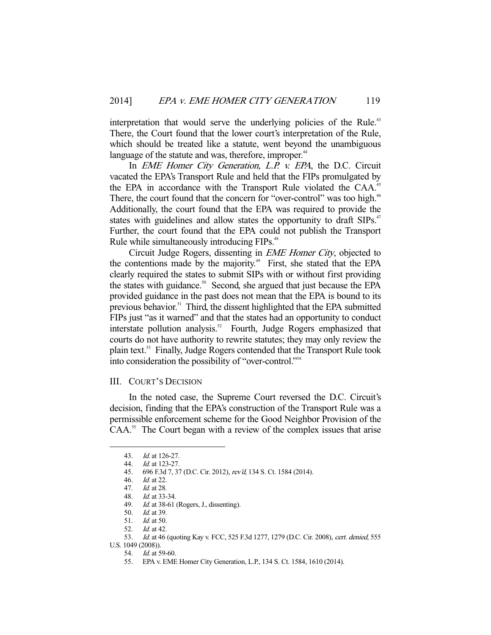interpretation that would serve the underlying policies of the Rule.<sup>43</sup> There, the Court found that the lower court's interpretation of the Rule, which should be treated like a statute, went beyond the unambiguous language of the statute and was, therefore, improper.<sup>44</sup>

In *EME Homer City Generation, L.P. v. EPA*, the D.C. Circuit vacated the EPA's Transport Rule and held that the FIPs promulgated by the EPA in accordance with the Transport Rule violated the CAA.<sup>45</sup> There, the court found that the concern for "over-control" was too high.<sup>46</sup> Additionally, the court found that the EPA was required to provide the states with guidelines and allow states the opportunity to draft SIPs.<sup>47</sup> Further, the court found that the EPA could not publish the Transport Rule while simultaneously introducing FIPs.<sup>48</sup>

 Circuit Judge Rogers, dissenting in EME Homer City, objected to the contentions made by the majority.<sup>49</sup> First, she stated that the EPA clearly required the states to submit SIPs with or without first providing the states with guidance.<sup>50</sup> Second, she argued that just because the EPA provided guidance in the past does not mean that the EPA is bound to its previous behavior.<sup>51</sup> Third, the dissent highlighted that the EPA submitted FIPs just "as it warned" and that the states had an opportunity to conduct interstate pollution analysis.<sup>52</sup> Fourth, Judge Rogers emphasized that courts do not have authority to rewrite statutes; they may only review the plain text.53 Finally, Judge Rogers contended that the Transport Rule took into consideration the possibility of "over-control."54

### III. COURT'S DECISION

 In the noted case, the Supreme Court reversed the D.C. Circuit's decision, finding that the EPA's construction of the Transport Rule was a permissible enforcement scheme for the Good Neighbor Provision of the CAA.<sup>55</sup> The Court began with a review of the complex issues that arise

 <sup>43.</sup> Id. at 126-27.

 <sup>44.</sup> Id. at 123-27.

 <sup>45. 696</sup> F.3d 7, 37 (D.C. Cir. 2012), rev'd, 134 S. Ct. 1584 (2014).

 <sup>46.</sup> Id. at 22.

 <sup>47.</sup> Id. at 28.

 <sup>48.</sup> Id. at 33-34.

<sup>49.</sup> Id. at 38-61 (Rogers, J., dissenting).

<sup>50.</sup> *Id.* at 39.<br>51. *Id.* at 50.

*Id.* at 50.

<sup>52.</sup> *Id.* at 42.

<sup>53.</sup> Id. at 46 (quoting Kay v. FCC, 525 F.3d 1277, 1279 (D.C. Cir. 2008), cert. denied, 555 U.S. 1049 (2008)).

 <sup>54.</sup> Id. at 59-60.

 <sup>55.</sup> EPA v. EME Homer City Generation, L.P., 134 S. Ct. 1584, 1610 (2014).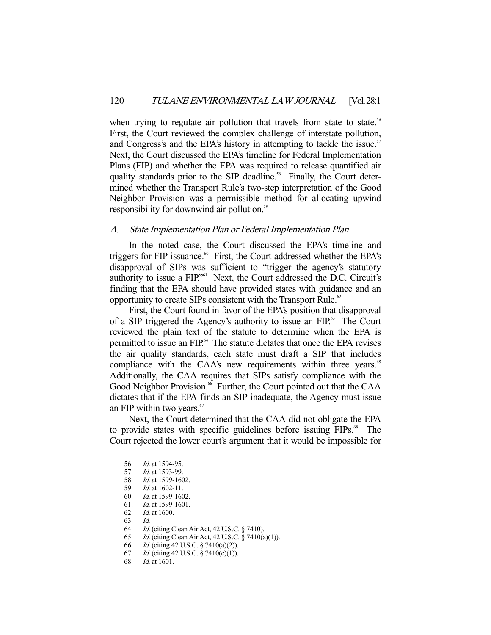when trying to regulate air pollution that travels from state to state.<sup>56</sup> First, the Court reviewed the complex challenge of interstate pollution, and Congress's and the EPA's history in attempting to tackle the issue.<sup>57</sup> Next, the Court discussed the EPA's timeline for Federal Implementation Plans (FIP) and whether the EPA was required to release quantified air quality standards prior to the SIP deadline.<sup>58</sup> Finally, the Court determined whether the Transport Rule's two-step interpretation of the Good Neighbor Provision was a permissible method for allocating upwind responsibility for downwind air pollution.<sup>59</sup>

## A. State Implementation Plan or Federal Implementation Plan

 In the noted case, the Court discussed the EPA's timeline and triggers for FIP issuance.<sup>60</sup> First, the Court addressed whether the EPA's disapproval of SIPs was sufficient to "trigger the agency's statutory authority to issue a FIP.<sup>"61</sup> Next, the Court addressed the D.C. Circuit's finding that the EPA should have provided states with guidance and an opportunity to create SIPs consistent with the Transport Rule.<sup>62</sup>

 First, the Court found in favor of the EPA's position that disapproval of a SIP triggered the Agency's authority to issue an FIP.<sup>63</sup> The Court reviewed the plain text of the statute to determine when the EPA is permitted to issue an FIP.<sup>64</sup> The statute dictates that once the EPA revises the air quality standards, each state must draft a SIP that includes compliance with the CAA's new requirements within three years.<sup>65</sup> Additionally, the CAA requires that SIPs satisfy compliance with the Good Neighbor Provision.<sup>66</sup> Further, the Court pointed out that the CAA dictates that if the EPA finds an SIP inadequate, the Agency must issue an FIP within two years.<sup>67</sup>

 Next, the Court determined that the CAA did not obligate the EPA to provide states with specific guidelines before issuing FIPs.<sup>68</sup> The Court rejected the lower court's argument that it would be impossible for

 <sup>56.</sup> Id. at 1594-95.

<sup>57.</sup> *Id.* at 1593-99.

<sup>58.</sup> *Id.* at 1599-1602.

 <sup>59.</sup> Id. at 1602-11.

 <sup>60.</sup> Id. at 1599-1602.

<sup>61.</sup> *Id.* at 1599-1601.<br>62. *Id.* at 1600.

Id. at 1600.

<sup>63.</sup> *Id.*<br>64. *Id.* Id. (citing Clean Air Act, 42 U.S.C. § 7410).

 <sup>65.</sup> Id. (citing Clean Air Act, 42 U.S.C. § 7410(a)(1)).

<sup>66.</sup> *Id.* (citing 42 U.S.C. § 7410(a)(2)).

<sup>67.</sup> *Id.* (citing 42 U.S.C. § 7410(c)(1)).

 <sup>68.</sup> Id. at 1601.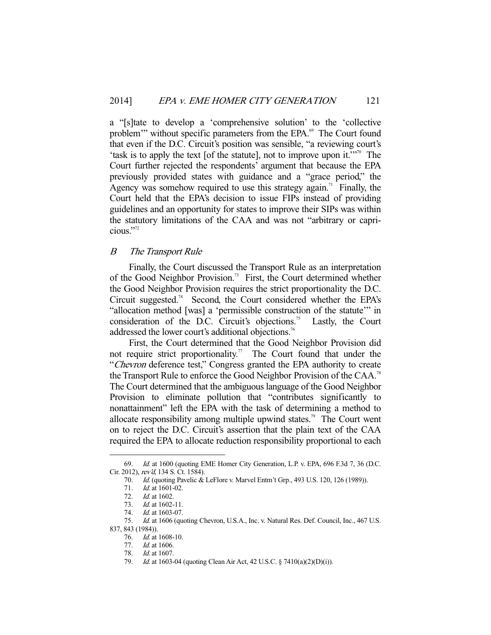a "[s]tate to develop a 'comprehensive solution' to the 'collective problem'" without specific parameters from the EPA.<sup>69</sup> The Court found that even if the D.C. Circuit's position was sensible, "a reviewing court's 'task is to apply the text [of the statute], not to improve upon it.'"70 The Court further rejected the respondents' argument that because the EPA previously provided states with guidance and a "grace period," the Agency was somehow required to use this strategy again.<sup>71</sup> Finally, the Court held that the EPA's decision to issue FIPs instead of providing guidelines and an opportunity for states to improve their SIPs was within the statutory limitations of the CAA and was not "arbitrary or capricious."72

# B The Transport Rule

 Finally, the Court discussed the Transport Rule as an interpretation of the Good Neighbor Provision.<sup>73</sup> First, the Court determined whether the Good Neighbor Provision requires the strict proportionality the D.C. Circuit suggested.<sup>74</sup> Second, the Court considered whether the EPA's "allocation method [was] a 'permissible construction of the statute'" in consideration of the D.C. Circuit's objections.<sup>75</sup> Lastly, the Court addressed the lower court's additional objections.<sup>76</sup>

 First, the Court determined that the Good Neighbor Provision did not require strict proportionality.<sup>77</sup> The Court found that under the "Chevron deference test," Congress granted the EPA authority to create the Transport Rule to enforce the Good Neighbor Provision of the CAA.78 The Court determined that the ambiguous language of the Good Neighbor Provision to eliminate pollution that "contributes significantly to nonattainment" left the EPA with the task of determining a method to allocate responsibility among multiple upwind states.<sup>79</sup> The Court went on to reject the D.C. Circuit's assertion that the plain text of the CAA required the EPA to allocate reduction responsibility proportional to each

 <sup>69.</sup> Id. at 1600 (quoting EME Homer City Generation, L.P. v. EPA, 696 F.3d 7, 36 (D.C. Cir. 2012), rev'd, 134 S. Ct. 1584).

 <sup>70.</sup> Id. (quoting Pavelic & LeFlore v. Marvel Entm't Grp., 493 U.S. 120, 126 (1989)).

<sup>71.</sup> *Id.* at 1601-02.

 <sup>72.</sup> Id. at 1602.

<sup>73.</sup> *Id.* at 1602-11.

<sup>74.</sup> *Id.* at 1603-07.

<sup>75.</sup> Id. at 1606 (quoting Chevron, U.S.A., Inc. v. Natural Res. Def. Council, Inc., 467 U.S. 837, 843 (1984)).

 <sup>76.</sup> Id. at 1608-10.

 <sup>77.</sup> Id. at 1606.

 <sup>78.</sup> Id. at 1607.

 <sup>79.</sup> Id. at 1603-04 (quoting Clean Air Act, 42 U.S.C. § 7410(a)(2)(D)(i)).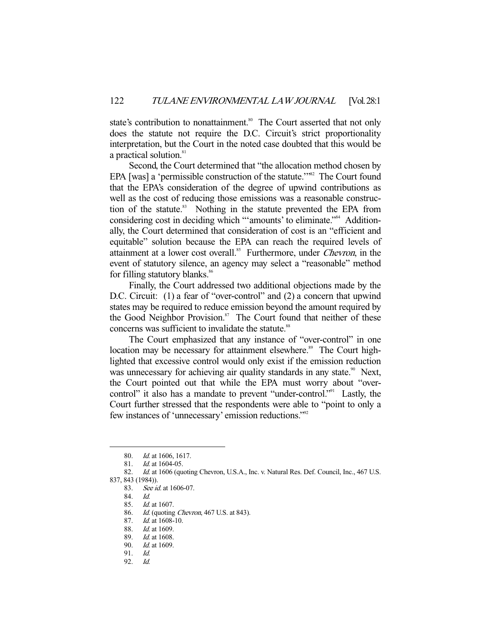state's contribution to nonattainment.<sup>80</sup> The Court asserted that not only does the statute not require the D.C. Circuit's strict proportionality interpretation, but the Court in the noted case doubted that this would be a practical solution.<sup>81</sup>

 Second, the Court determined that "the allocation method chosen by EPA [was] a 'permissible construction of the statute."<sup>82</sup> The Court found that the EPA's consideration of the degree of upwind contributions as well as the cost of reducing those emissions was a reasonable construction of the statute.<sup>83</sup> Nothing in the statute prevented the EPA from considering cost in deciding which "'amounts' to eliminate."<sup>84</sup> Additionally, the Court determined that consideration of cost is an "efficient and equitable" solution because the EPA can reach the required levels of attainment at a lower cost overall.<sup>85</sup> Furthermore, under *Chevron*, in the event of statutory silence, an agency may select a "reasonable" method for filling statutory blanks.<sup>86</sup>

 Finally, the Court addressed two additional objections made by the D.C. Circuit: (1) a fear of "over-control" and (2) a concern that upwind states may be required to reduce emission beyond the amount required by the Good Neighbor Provision.<sup>87</sup> The Court found that neither of these concerns was sufficient to invalidate the statute.<sup>88</sup>

 The Court emphasized that any instance of "over-control" in one location may be necessary for attainment elsewhere.<sup>89</sup> The Court highlighted that excessive control would only exist if the emission reduction was unnecessary for achieving air quality standards in any state.<sup>90</sup> Next, the Court pointed out that while the EPA must worry about "overcontrol" it also has a mandate to prevent "under-control." Lastly, the Court further stressed that the respondents were able to "point to only a few instances of 'unnecessary' emission reductions."92

-

92. Id.

<sup>80.</sup> *Id.* at 1606, 1617.

 <sup>81.</sup> Id. at 1604-05.

<sup>82.</sup> Id. at 1606 (quoting Chevron, U.S.A., Inc. v. Natural Res. Def. Council, Inc., 467 U.S. 837, 843 (1984)).

<sup>83.</sup> See id. at 1606-07.

 <sup>84.</sup> Id.

 <sup>85.</sup> Id. at 1607.

<sup>86.</sup> *Id.* (quoting *Chevron*, 467 U.S. at 843).

 <sup>87.</sup> Id. at 1608-10.

 <sup>88.</sup> Id. at 1609.

 <sup>89.</sup> Id. at 1608.

 <sup>90.</sup> Id. at 1609.

 <sup>91.</sup> Id.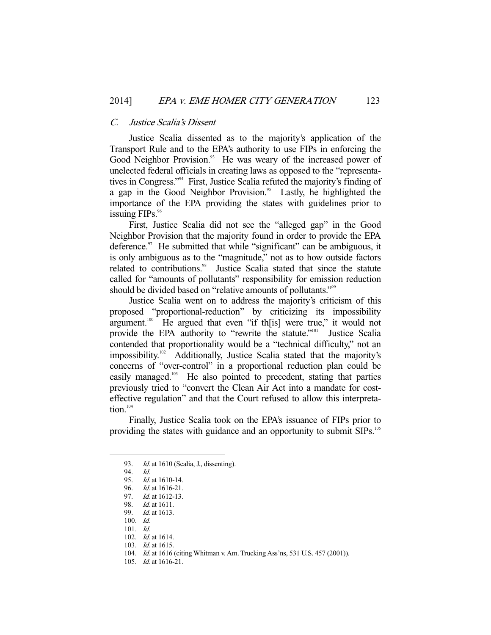#### C. Justice Scalia's Dissent

 Justice Scalia dissented as to the majority's application of the Transport Rule and to the EPA's authority to use FIPs in enforcing the Good Neighbor Provision.<sup>93</sup> He was weary of the increased power of unelected federal officials in creating laws as opposed to the "representatives in Congress."94 First, Justice Scalia refuted the majority's finding of a gap in the Good Neighbor Provision.<sup>95</sup> Lastly, he highlighted the importance of the EPA providing the states with guidelines prior to issuing  $FIPs.$ <sup>96</sup>

 First, Justice Scalia did not see the "alleged gap" in the Good Neighbor Provision that the majority found in order to provide the EPA deference. $97$  He submitted that while "significant" can be ambiguous, it is only ambiguous as to the "magnitude," not as to how outside factors related to contributions.<sup>98</sup> Justice Scalia stated that since the statute called for "amounts of pollutants" responsibility for emission reduction should be divided based on "relative amounts of pollutants."<sup>99</sup>

 Justice Scalia went on to address the majority's criticism of this proposed "proportional-reduction" by criticizing its impossibility argument.<sup>100</sup> He argued that even "if th[is] were true," it would not provide the EPA authority to "rewrite the statute."<sup>101</sup> Justice Scalia contended that proportionality would be a "technical difficulty," not an impossibility.<sup>102</sup> Additionally, Justice Scalia stated that the majority's concerns of "over-control" in a proportional reduction plan could be easily managed.<sup>103</sup> He also pointed to precedent, stating that parties previously tried to "convert the Clean Air Act into a mandate for costeffective regulation" and that the Court refused to allow this interpretation. $104$ 

 Finally, Justice Scalia took on the EPA's issuance of FIPs prior to providing the states with guidance and an opportunity to submit SIPs.<sup>105</sup>

<sup>93.</sup> *Id.* at 1610 (Scalia, J., dissenting).

 <sup>94.</sup> Id.

 <sup>95.</sup> Id. at 1610-14.

 <sup>96.</sup> Id. at 1616-21.

<sup>97.</sup> *Id.* at 1612-13.

<sup>98.</sup> *Id.* at 1611.<br>99. *Id.* at 1613.

Id. at 1613.

 <sup>100.</sup> Id.

 <sup>101.</sup> Id.

 <sup>102.</sup> Id. at 1614.

 <sup>103.</sup> Id. at 1615.

 <sup>104.</sup> Id. at 1616 (citing Whitman v. Am. Trucking Ass'ns, 531 U.S. 457 (2001)).

 <sup>105.</sup> Id. at 1616-21.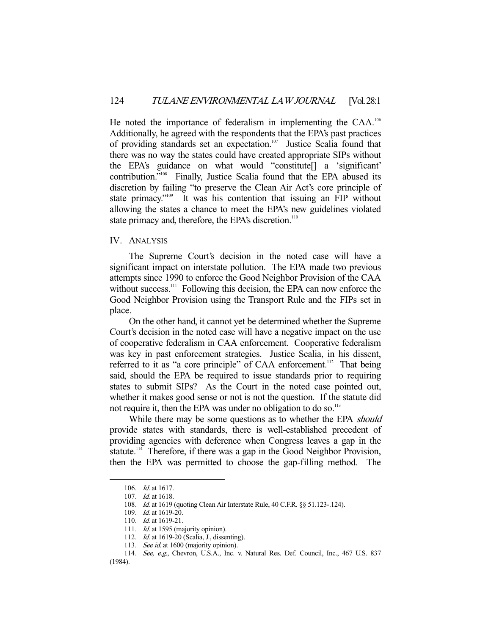He noted the importance of federalism in implementing the CAA.<sup>106</sup> Additionally, he agreed with the respondents that the EPA's past practices of providing standards set an expectation.<sup>107</sup> Justice Scalia found that there was no way the states could have created appropriate SIPs without the EPA's guidance on what would "constitute[] a 'significant' contribution."<sup>108</sup> Finally, Justice Scalia found that the EPA abused its discretion by failing "to preserve the Clean Air Act's core principle of state primacy."<sup>109</sup> It was his contention that issuing an FIP without allowing the states a chance to meet the EPA's new guidelines violated state primacy and, therefore, the EPA's discretion.<sup>110</sup>

# IV. ANALYSIS

 The Supreme Court's decision in the noted case will have a significant impact on interstate pollution. The EPA made two previous attempts since 1990 to enforce the Good Neighbor Provision of the CAA without success.<sup>111</sup> Following this decision, the EPA can now enforce the Good Neighbor Provision using the Transport Rule and the FIPs set in place.

 On the other hand, it cannot yet be determined whether the Supreme Court's decision in the noted case will have a negative impact on the use of cooperative federalism in CAA enforcement. Cooperative federalism was key in past enforcement strategies. Justice Scalia, in his dissent, referred to it as "a core principle" of CAA enforcement.<sup>112</sup> That being said, should the EPA be required to issue standards prior to requiring states to submit SIPs? As the Court in the noted case pointed out, whether it makes good sense or not is not the question. If the statute did not require it, then the EPA was under no obligation to do so.<sup>113</sup>

While there may be some questions as to whether the EPA should provide states with standards, there is well-established precedent of providing agencies with deference when Congress leaves a gap in the statute.<sup>114</sup> Therefore, if there was a gap in the Good Neighbor Provision, then the EPA was permitted to choose the gap-filling method. The

 <sup>106.</sup> Id. at 1617.

 <sup>107.</sup> Id. at 1618.

 <sup>108.</sup> Id. at 1619 (quoting Clean Air Interstate Rule, 40 C.F.R. §§ 51.123-.124).

 <sup>109.</sup> Id. at 1619-20.

 <sup>110.</sup> Id. at 1619-21.

<sup>111.</sup> Id. at 1595 (majority opinion).

<sup>112.</sup> *Id.* at 1619-20 (Scalia, J., dissenting).

<sup>113.</sup> See id. at 1600 (majority opinion).

 <sup>114.</sup> See, e.g., Chevron, U.S.A., Inc. v. Natural Res. Def. Council, Inc., 467 U.S. 837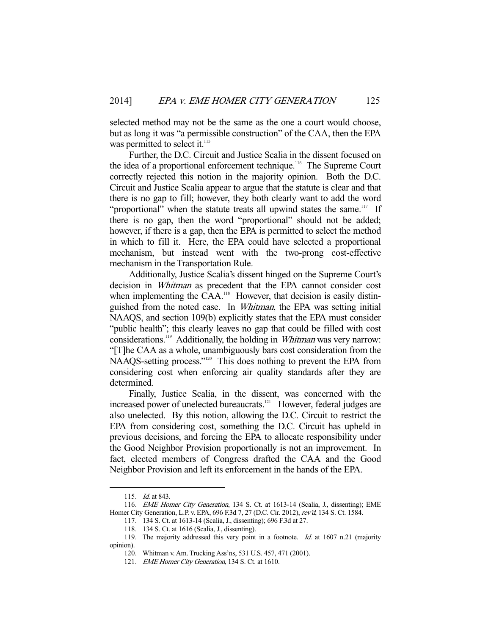selected method may not be the same as the one a court would choose, but as long it was "a permissible construction" of the CAA, then the EPA was permitted to select it.<sup>115</sup>

 Further, the D.C. Circuit and Justice Scalia in the dissent focused on the idea of a proportional enforcement technique.116 The Supreme Court correctly rejected this notion in the majority opinion. Both the D.C. Circuit and Justice Scalia appear to argue that the statute is clear and that there is no gap to fill; however, they both clearly want to add the word "proportional" when the statute treats all upwind states the same.<sup>117</sup> If there is no gap, then the word "proportional" should not be added; however, if there is a gap, then the EPA is permitted to select the method in which to fill it. Here, the EPA could have selected a proportional mechanism, but instead went with the two-prong cost-effective mechanism in the Transportation Rule.

 Additionally, Justice Scalia's dissent hinged on the Supreme Court's decision in Whitman as precedent that the EPA cannot consider cost when implementing the  $\text{CAA}$ .<sup>118</sup> However, that decision is easily distinguished from the noted case. In Whitman, the EPA was setting initial NAAQS, and section 109(b) explicitly states that the EPA must consider "public health"; this clearly leaves no gap that could be filled with cost considerations.<sup>119</sup> Additionally, the holding in *Whitman* was very narrow: "[T]he CAA as a whole, unambiguously bars cost consideration from the NAAQS-setting process."120 This does nothing to prevent the EPA from considering cost when enforcing air quality standards after they are determined.

 Finally, Justice Scalia, in the dissent, was concerned with the increased power of unelected bureaucrats.<sup>121</sup> However, federal judges are also unelected. By this notion, allowing the D.C. Circuit to restrict the EPA from considering cost, something the D.C. Circuit has upheld in previous decisions, and forcing the EPA to allocate responsibility under the Good Neighbor Provision proportionally is not an improvement. In fact, elected members of Congress drafted the CAA and the Good Neighbor Provision and left its enforcement in the hands of the EPA.

<sup>115.</sup> *Id.* at 843.

 <sup>116.</sup> EME Homer City Generation, 134 S. Ct. at 1613-14 (Scalia, J., dissenting); EME Homer City Generation, L.P. v. EPA, 696 F.3d 7, 27 (D.C. Cir. 2012), rev'd, 134 S. Ct. 1584.

 <sup>117. 134</sup> S. Ct. at 1613-14 (Scalia, J., dissenting); 696 F.3d at 27.

 <sup>118. 134</sup> S. Ct. at 1616 (Scalia, J., dissenting).

 <sup>119.</sup> The majority addressed this very point in a footnote. Id. at 1607 n.21 (majority opinion).

 <sup>120.</sup> Whitman v. Am. Trucking Ass'ns, 531 U.S. 457, 471 (2001).

<sup>121.</sup> EME Homer City Generation, 134 S. Ct. at 1610.